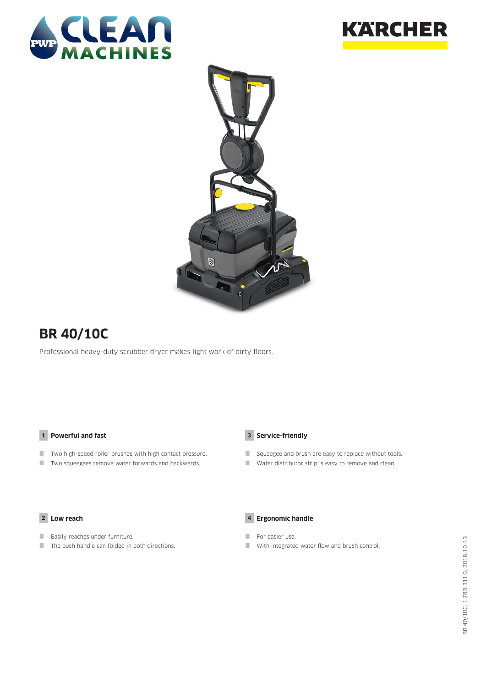





# **BR 40/10C**

Professional heavy-duty scrubber dryer makes light work of dirty floors.

### **1 Powerful and fast**

- Two high-speed roller brushes with high contact pressure.
- **The State State is a Two squeegees remove water forwards and backwards.**



- Squeegee and brush are easy to replace without tools.
- Water distributor strip is easy to remove and clean.

#### **2 Low reach**

- **Easily reaches under furniture.**
- $\blacksquare$  The push handle can folded in both directions.



- For easier use.
- With integrated water flow and brush control.